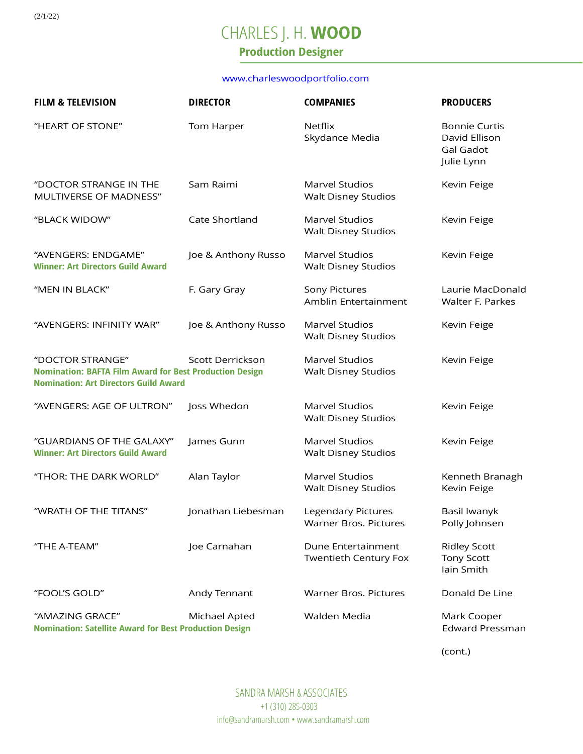(2/1/22)

## CHARLES J. H. **WOOD**

## **Production Designer**

#### [www.charleswoodportfolio.com](http://www.charleswoodportfolio.com/)

| <b>FILM &amp; TELEVISION</b>                                                                                                       | <b>DIRECTOR</b>     | <b>COMPANIES</b>                                    | <b>PRODUCERS</b>                                                        |
|------------------------------------------------------------------------------------------------------------------------------------|---------------------|-----------------------------------------------------|-------------------------------------------------------------------------|
| "HEART OF STONE"                                                                                                                   | Tom Harper          | Netflix<br>Skydance Media                           | <b>Bonnie Curtis</b><br>David Ellison<br><b>Gal Gadot</b><br>Julie Lynn |
| "DOCTOR STRANGE IN THE<br>MULTIVERSE OF MADNESS"                                                                                   | Sam Raimi           | <b>Marvel Studios</b><br>Walt Disney Studios        | Kevin Feige                                                             |
| "BLACK WIDOW"                                                                                                                      | Cate Shortland      | <b>Marvel Studios</b><br><b>Walt Disney Studios</b> | Kevin Feige                                                             |
| "AVENGERS: ENDGAME"<br><b>Winner: Art Directors Guild Award</b>                                                                    | Joe & Anthony Russo | <b>Marvel Studios</b><br>Walt Disney Studios        | Kevin Feige                                                             |
| "MEN IN BLACK"                                                                                                                     | F. Gary Gray        | Sony Pictures<br>Amblin Entertainment               | Laurie MacDonald<br>Walter F. Parkes                                    |
| "AVENGERS: INFINITY WAR"                                                                                                           | Joe & Anthony Russo | Marvel Studios<br><b>Walt Disney Studios</b>        | Kevin Feige                                                             |
| "DOCTOR STRANGE"<br><b>Nomination: BAFTA Film Award for Best Production Design</b><br><b>Nomination: Art Directors Guild Award</b> | Scott Derrickson    | <b>Marvel Studios</b><br><b>Walt Disney Studios</b> | Kevin Feige                                                             |
| "AVENGERS: AGE OF ULTRON"                                                                                                          | Joss Whedon         | <b>Marvel Studios</b><br>Walt Disney Studios        | Kevin Feige                                                             |
| "GUARDIANS OF THE GALAXY"<br><b>Winner: Art Directors Guild Award</b>                                                              | James Gunn          | <b>Marvel Studios</b><br>Walt Disney Studios        | Kevin Feige                                                             |
| "THOR: THE DARK WORLD"                                                                                                             | Alan Taylor         | <b>Marvel Studios</b><br><b>Walt Disney Studios</b> | Kenneth Branagh<br>Kevin Feige                                          |
| "WRATH OF THE TITANS"                                                                                                              | Jonathan Liebesman  | <b>Legendary Pictures</b><br>Warner Bros. Pictures  | Basil Iwanyk<br>Polly Johnsen                                           |
| "THE A-TEAM"                                                                                                                       | Joe Carnahan        | Dune Entertainment<br>Twentieth Century Fox         | <b>Ridley Scott</b><br><b>Tony Scott</b><br>lain Smith                  |
| "FOOL'S GOLD"                                                                                                                      | Andy Tennant        | Warner Bros. Pictures                               | Donald De Line                                                          |
| "AMAZING GRACE"<br><b>Nomination: Satellite Award for Best Production Design</b>                                                   | Michael Apted       | Walden Media                                        | Mark Cooper<br><b>Edward Pressman</b>                                   |

(cont.)